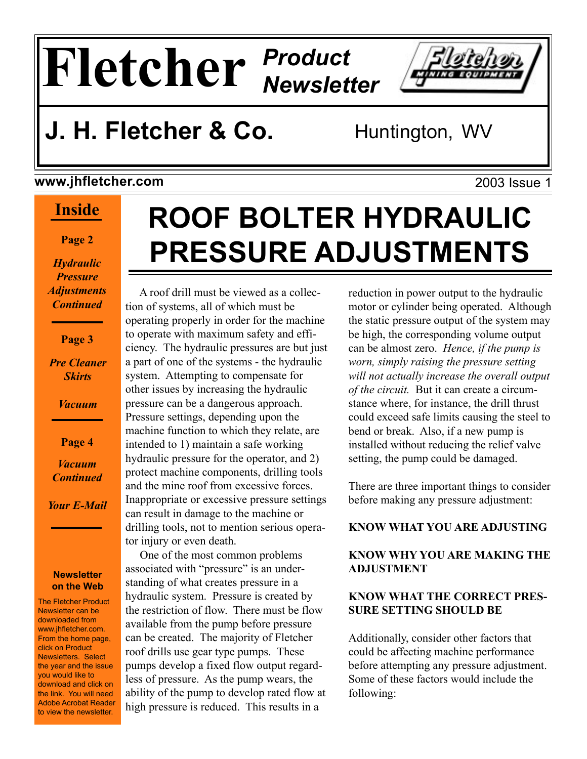# **Fletcher** *Product Newsletter*

## **J. H. Fletcher & Co.** Huntington, WV

#### **www.jhfletcher.com**

#### **Inside**

**Page 2**

*Hydraulic Pressure Adjustments Continued*

**Page 3**

*Pre Cleaner Skirts*

*Vacuum*

**Page 4** *Vacuum Continued*

*Your E-Mail*

#### **Newsletter on the Web**

The Fletcher Product Newsletter can be downloaded from www.jhfletcher.com. From the home page, click on Product Newsletters. Select the year and the issue you would like to download and click on the link. You will need Adobe Acrobat Reader to view the newsletter.

# **ROOF BOLTER HYDRAULIC PRESSURE ADJUSTMENTS**

 A roof drill must be viewed as a collection of systems, all of which must be operating properly in order for the machine to operate with maximum safety and efficiency. The hydraulic pressures are but just a part of one of the systems - the hydraulic system. Attempting to compensate for other issues by increasing the hydraulic pressure can be a dangerous approach. Pressure settings, depending upon the machine function to which they relate, are intended to 1) maintain a safe working hydraulic pressure for the operator, and 2) protect machine components, drilling tools and the mine roof from excessive forces. Inappropriate or excessive pressure settings can result in damage to the machine or drilling tools, not to mention serious operator injury or even death.

 One of the most common problems associated with "pressure" is an understanding of what creates pressure in a hydraulic system. Pressure is created by the restriction of flow. There must be flow available from the pump before pressure can be created. The majority of Fletcher roof drills use gear type pumps. These pumps develop a fixed flow output regardless of pressure. As the pump wears, the ability of the pump to develop rated flow at high pressure is reduced. This results in a

reduction in power output to the hydraulic motor or cylinder being operated. Although the static pressure output of the system may be high, the corresponding volume output can be almost zero. *Hence, if the pump is worn, simply raising the pressure setting will not actually increase the overall output of the circuit.* But it can create a circumstance where, for instance, the drill thrust could exceed safe limits causing the steel to bend or break. Also, if a new pump is installed without reducing the relief valve setting, the pump could be damaged.

There are three important things to consider before making any pressure adjustment:

#### **KNOW WHAT YOU ARE ADJUSTING**

#### **KNOW WHY YOU ARE MAKING THE ADJUSTMENT**

#### **KNOW WHAT THE CORRECT PRES-SURE SETTING SHOULD BE**

Additionally, consider other factors that could be affecting machine performance before attempting any pressure adjustment. Some of these factors would include the following:

2003 Issue 1

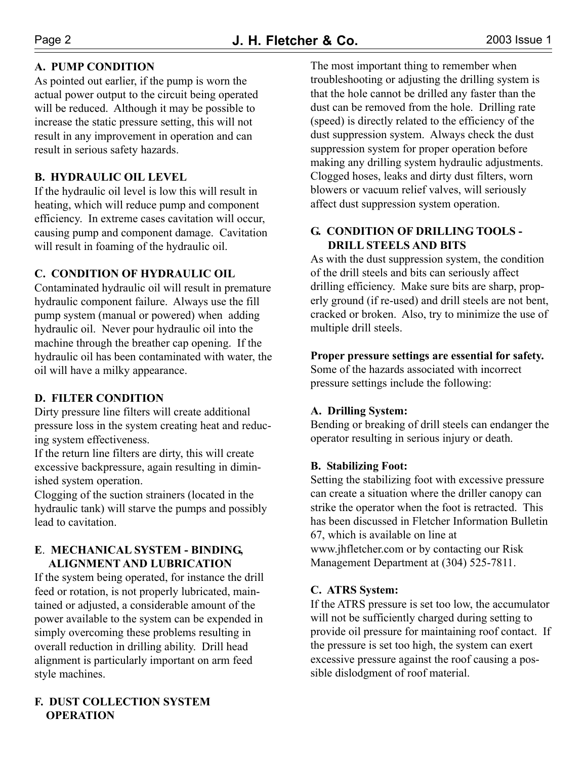#### **A. PUMP CONDITION**

As pointed out earlier, if the pump is worn the actual power output to the circuit being operated will be reduced. Although it may be possible to increase the static pressure setting, this will not result in any improvement in operation and can result in serious safety hazards.

#### **B. HYDRAULIC OIL LEVEL**

If the hydraulic oil level is low this will result in heating, which will reduce pump and component efficiency. In extreme cases cavitation will occur, causing pump and component damage. Cavitation will result in foaming of the hydraulic oil.

#### **C. CONDITION OF HYDRAULIC OIL**

Contaminated hydraulic oil will result in premature hydraulic component failure. Always use the fill pump system (manual or powered) when adding hydraulic oil. Never pour hydraulic oil into the machine through the breather cap opening. If the hydraulic oil has been contaminated with water, the oil will have a milky appearance.

#### **D. FILTER CONDITION**

Dirty pressure line filters will create additional pressure loss in the system creating heat and reducing system effectiveness.

If the return line filters are dirty, this will create excessive backpressure, again resulting in diminished system operation.

Clogging of the suction strainers (located in the hydraulic tank) will starve the pumps and possibly lead to cavitation.

#### **E**. **MECHANICAL SYSTEM - BINDING, ALIGNMENT AND LUBRICATION**

If the system being operated, for instance the drill feed or rotation, is not properly lubricated, maintained or adjusted, a considerable amount of the power available to the system can be expended in simply overcoming these problems resulting in overall reduction in drilling ability. Drill head alignment is particularly important on arm feed style machines.

#### **F. DUST COLLECTION SYSTEM OPERATION**

The most important thing to remember when troubleshooting or adjusting the drilling system is that the hole cannot be drilled any faster than the dust can be removed from the hole. Drilling rate (speed) is directly related to the efficiency of the dust suppression system. Always check the dust suppression system for proper operation before making any drilling system hydraulic adjustments. Clogged hoses, leaks and dirty dust filters, worn blowers or vacuum relief valves, will seriously affect dust suppression system operation.

#### **G. CONDITION OF DRILLING TOOLS - DRILL STEELS AND BITS**

As with the dust suppression system, the condition of the drill steels and bits can seriously affect drilling efficiency. Make sure bits are sharp, properly ground (if re-used) and drill steels are not bent, cracked or broken. Also, try to minimize the use of multiple drill steels.

**Proper pressure settings are essential for safety.** Some of the hazards associated with incorrect

pressure settings include the following:

#### **A. Drilling System:**

Bending or breaking of drill steels can endanger the operator resulting in serious injury or death.

#### **B. Stabilizing Foot:**

Setting the stabilizing foot with excessive pressure can create a situation where the driller canopy can strike the operator when the foot is retracted. This has been discussed in Fletcher Information Bulletin 67, which is available on line at www.jhfletcher.com or by contacting our Risk Management Department at (304) 525-7811.

#### **C. ATRS System:**

If the ATRS pressure is set too low, the accumulator will not be sufficiently charged during setting to provide oil pressure for maintaining roof contact. If the pressure is set too high, the system can exert excessive pressure against the roof causing a possible dislodgment of roof material.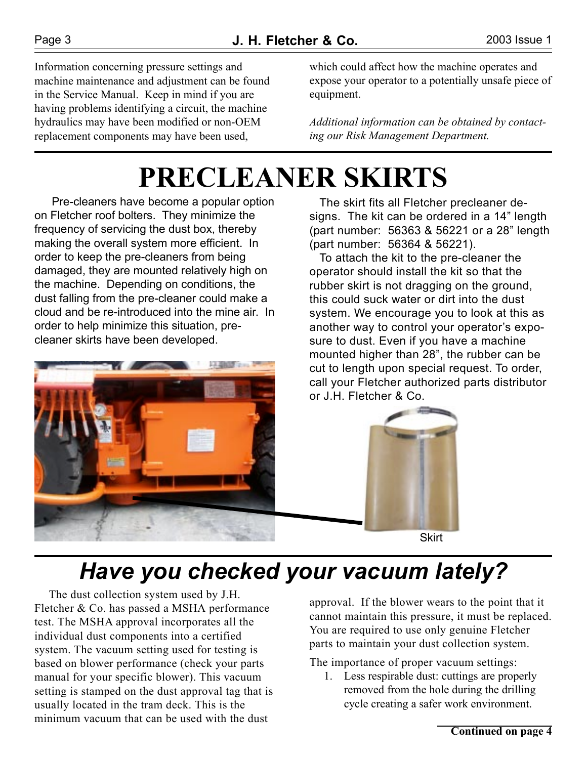Information concerning pressure settings and machine maintenance and adjustment can be found in the Service Manual. Keep in mind if you are having problems identifying a circuit, the machine hydraulics may have been modified or non-OEM replacement components may have been used,

which could affect how the machine operates and expose your operator to a potentially unsafe piece of equipment.

*Additional information can be obtained by contacting our Risk Management Department.*

# **PRECLEANER SKIRTS**

 Pre-cleaners have become a popular option on Fletcher roof bolters. They minimize the frequency of servicing the dust box, thereby making the overall system more efficient. In order to keep the pre-cleaners from being damaged, they are mounted relatively high on the machine. Depending on conditions, the dust falling from the pre-cleaner could make a cloud and be re-introduced into the mine air. In order to help minimize this situation, precleaner skirts have been developed.



 The skirt fits all Fletcher precleaner designs. The kit can be ordered in a 14" length (part number: 56363 & 56221 or a 28" length (part number: 56364 & 56221).

 To attach the kit to the pre-cleaner the operator should install the kit so that the rubber skirt is not dragging on the ground, this could suck water or dirt into the dust system. We encourage you to look at this as another way to control your operator's exposure to dust. Even if you have a machine mounted higher than 28", the rubber can be cut to length upon special request. To order, call your Fletcher authorized parts distributor or J.H. Fletcher & Co.



**Skirt** 

### *Have you checked your vacuum lately?*

 The dust collection system used by J.H. Fletcher & Co. has passed a MSHA performance test. The MSHA approval incorporates all the individual dust components into a certified system. The vacuum setting used for testing is based on blower performance (check your parts manual for your specific blower). This vacuum setting is stamped on the dust approval tag that is usually located in the tram deck. This is the minimum vacuum that can be used with the dust

approval. If the blower wears to the point that it cannot maintain this pressure, it must be replaced. You are required to use only genuine Fletcher parts to maintain your dust collection system.

The importance of proper vacuum settings:

 1. Less respirable dust: cuttings are properly removed from the hole during the drilling cycle creating a safer work environment.